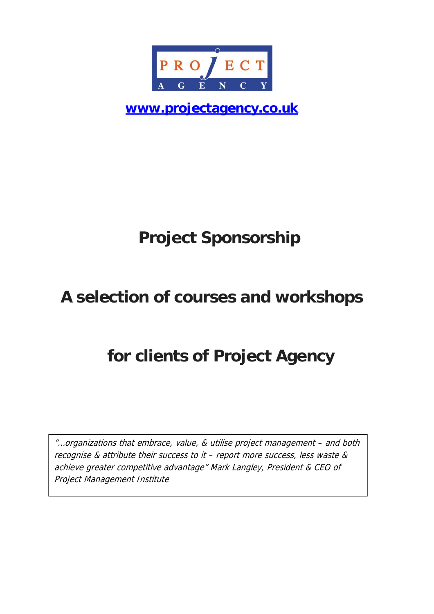

**www.projectagency.co.uk**

# **Project Sponsorship**

# **A selection of courses and workshops**

# **for clients of Project Agency**

"…organizations that embrace, value, & utilise project management – and both recognise & attribute their success to it – report more success, less waste & achieve greater competitive advantage" Mark Langley, President & CEO of Project Management Institute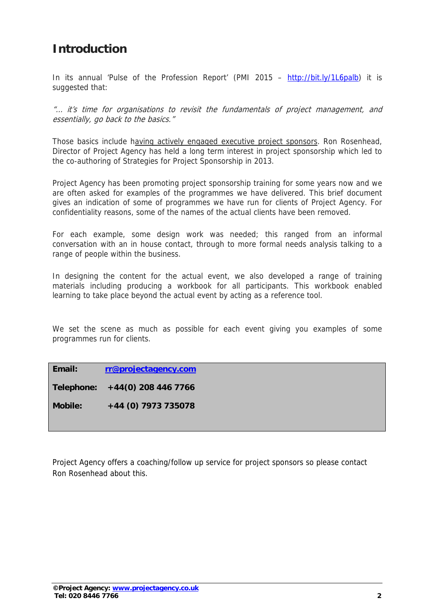## **Introduction**

In its annual 'Pulse of the Profession Report' (PMI 2015 – http://bit.ly/1L6palb) it is suggested that:

"… it's time for organisations to revisit the fundamentals of project management, and essentially, go back to the basics."

Those basics include having actively engaged executive project sponsors. Ron Rosenhead, Director of Project Agency has held a long term interest in project sponsorship which led to the co-authoring of Strategies for Project Sponsorship in 2013.

Project Agency has been promoting project sponsorship training for some years now and we are often asked for examples of the programmes we have delivered. This brief document gives an indication of some of programmes we have run for clients of Project Agency. For confidentiality reasons, some of the names of the actual clients have been removed.

For each example, some design work was needed; this ranged from an informal conversation with an in house contact, through to more formal needs analysis talking to a range of people within the business.

In designing the content for the actual event, we also developed a range of training materials including producing a workbook for all participants. This workbook enabled learning to take place beyond the actual event by acting as a reference tool.

We set the scene as much as possible for each event giving you examples of some programmes run for clients.

**Email: rr@projectagency.com**

**Telephone: +44(0) 208 446 7766** 

**Mobile: +44 (0) 7973 735078** 

Project Agency offers a coaching/follow up service for project sponsors so please contact Ron Rosenhead about this.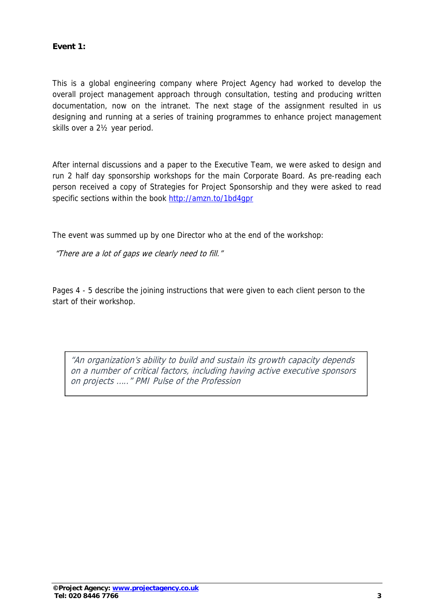#### **Event 1:**

This is a global engineering company where Project Agency had worked to develop the overall project management approach through consultation, testing and producing written documentation, now on the intranet. The next stage of the assignment resulted in us designing and running at a series of training programmes to enhance project management skills over a 2½ year period.

After internal discussions and a paper to the Executive Team, we were asked to design and run 2 half day sponsorship workshops for the main Corporate Board. As pre-reading each person received a copy of Strategies for Project Sponsorship and they were asked to read specific sections within the book http://amzn.to/1bd4gpr

The event was summed up by one Director who at the end of the workshop:

"There are a lot of gaps we clearly need to fill."

Pages 4 - 5 describe the joining instructions that were given to each client person to the start of their workshop.

"An organization's ability to build and sustain its growth capacity depends on a number of critical factors, including having active executive sponsors on projects ….." PMI Pulse of the Profession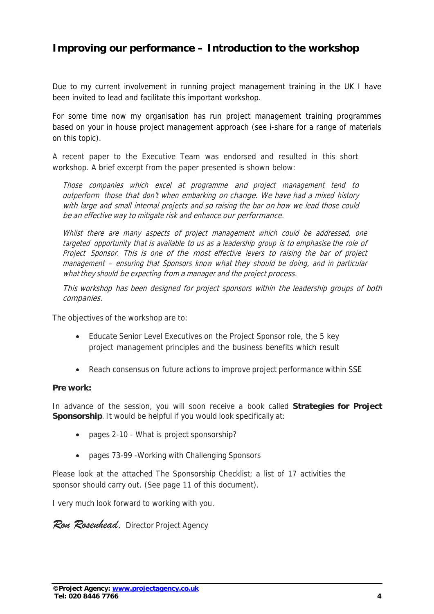## **Improving our performance – Introduction to the workshop**

Due to my current involvement in running project management training in the UK I have been invited to lead and facilitate this important workshop.

For some time now my organisation has run project management training programmes based on your in house project management approach (see i-share for a range of materials on this topic).

A recent paper to the Executive Team was endorsed and resulted in this short workshop. A brief excerpt from the paper presented is shown below:

Those companies which excel at programme and project management tend to outperform those that don't when embarking on change. We have had a mixed history with large and small internal projects and so raising the bar on how we lead those could be an effective way to mitigate risk and enhance our performance.

Whilst there are many aspects of project management which could be addressed, one targeted opportunity that is available to us as a leadership group is to emphasise the role of Project Sponsor. This is one of the most effective levers to raising the bar of project management – ensuring that Sponsors know what they should be doing, and in particular what they should be expecting from a manager and the project process.

This workshop has been designed for project sponsors within the leadership groups of both companies.

The objectives of the workshop are to:

- Educate Senior Level Executives on the Project Sponsor role, the 5 key project management principles and the business benefits which result
- Reach consensus on future actions to improve project performance within SSE

#### **Pre work:**

In advance of the session, you will soon receive a book called **Strategies for Project Sponsorship**. It would be helpful if you would look specifically at:

- pages 2-10 What is project sponsorship?
- pages 73-99 Working with Challenging Sponsors

Please look at the attached The Sponsorship Checklist; a list of 17 activities the sponsor should carry out. (See page 11 of this document).

I very much look forward to working with you.

*Ron Rosenhead,* Director Project Agency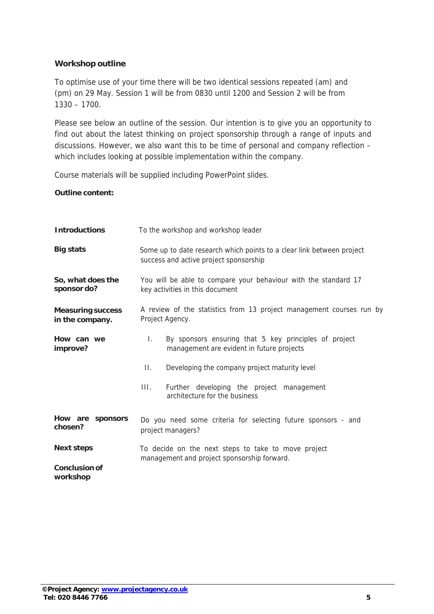#### **Workshop outline**

To optimise use of your time there will be two identical sessions repeated (am) and (pm) on 29 May. Session 1 will be from 0830 until 1200 and Session 2 will be from 1330 – 1700.

Please see below an outline of the session. Our intention is to give you an opportunity to find out about the latest thinking on project sponsorship through a range of inputs and discussions. However, we also want this to be time of personal and company reflection – which includes looking at possible implementation within the company.

Course materials will be supplied including PowerPoint slides.

#### **Outline content:**

| <b>Introductions</b>                        | To the workshop and workshop leader                                                                                |  |  |  |
|---------------------------------------------|--------------------------------------------------------------------------------------------------------------------|--|--|--|
| <b>Big stats</b>                            | Some up to date research which points to a clear link between project<br>success and active project sponsorship    |  |  |  |
| So, what does the<br>sponsor do?            | You will be able to compare your behaviour with the standard 17<br>key activities in this document                 |  |  |  |
| <b>Measuring success</b><br>in the company. | A review of the statistics from 13 project management courses run by<br>Project Agency.                            |  |  |  |
| How can we<br>improve?                      | $\mathbf{L}$<br>By sponsors ensuring that 5 key principles of project<br>management are evident in future projects |  |  |  |
|                                             | П.<br>Developing the company project maturity level                                                                |  |  |  |
|                                             | III.<br>Further developing the project management<br>architecture for the business                                 |  |  |  |
| How are sponsors<br>chosen?                 | Do you need some criteria for selecting future sponsors - and<br>project managers?                                 |  |  |  |
| <b>Next steps</b>                           | To decide on the next steps to take to move project<br>management and project sponsorship forward.                 |  |  |  |
| <b>Conclusion of</b><br>workshop            |                                                                                                                    |  |  |  |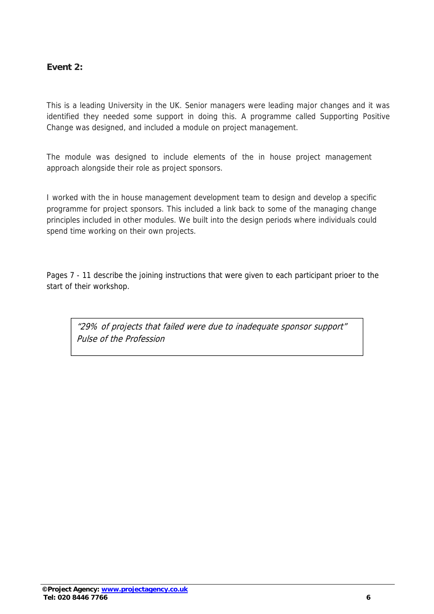#### **Event 2:**

This is a leading University in the UK. Senior managers were leading major changes and it was identified they needed some support in doing this. A programme called Supporting Positive Change was designed, and included a module on project management.

The module was designed to include elements of the in house project management approach alongside their role as project sponsors.

I worked with the in house management development team to design and develop a specific programme for project sponsors. This included a link back to some of the managing change principles included in other modules. We built into the design periods where individuals could spend time working on their own projects.

Pages 7 - 11 describe the joining instructions that were given to each participant prioer to the start of their workshop.

"29% of projects that failed were due to inadequate sponsor support" Pulse of the Profession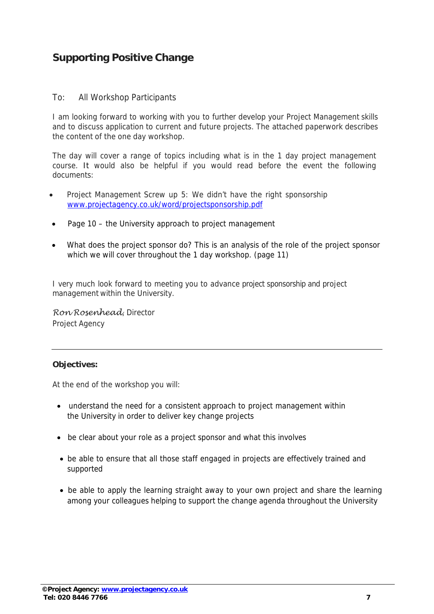## **Supporting Positive Change**

#### To: All Workshop Participants

I am looking forward to working with you to further develop your Project Management skills and to discuss application to current and future projects. The attached paperwork describes the content of the one day workshop.

The day will cover a range of topics including what is in the 1 day project management course. It would also be helpful if you would read before the event the following documents:

- Project Management Screw up 5: We didn't have the right sponsorship www.projectagency.co.uk/word/projectsponsorship.pdf
- Page 10 the University approach to project management
- What does the project sponsor do? This is an analysis of the role of the project sponsor which we will cover throughout the 1 day workshop. (page 11)

I very much look forward to meeting you to advance project sponsorship and project management within the University.

*Ron Rosenhead*, Director Project Agency

#### **Objectives:**

At the end of the workshop you will:

- understand the need for a consistent approach to project management within the University in order to deliver key change projects
- be clear about your role as a project sponsor and what this involves
- be able to ensure that all those staff engaged in projects are effectively trained and supported
- be able to apply the learning straight away to your own project and share the learning among your colleagues helping to support the change agenda throughout the University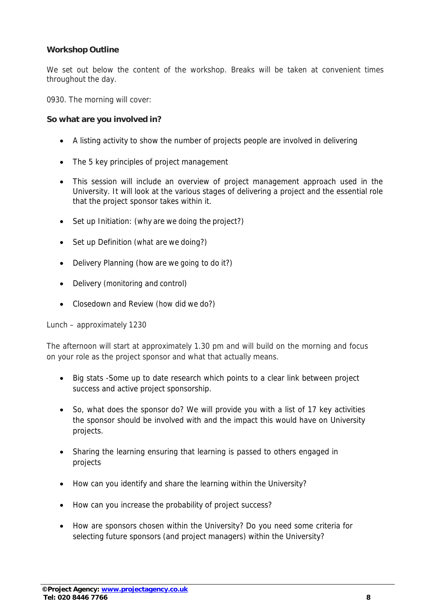#### **Workshop Outline**

We set out below the content of the workshop. Breaks will be taken at convenient times throughout the day.

0930. The morning will cover:

#### **So what are you involved in?**

- A listing activity to show the number of projects people are involved in delivering
- The 5 key principles of project management
- This session will include an overview of project management approach used in the University. It will look at the various stages of delivering a project and the essential role that the project sponsor takes within it.
- Set up Initiation: (why are we doing the project?)
- Set up Definition (what are we doing?)
- Delivery Planning (how are we going to do it?)
- Delivery (monitoring and control)
- Closedown and Review (how did we do?)

Lunch – approximately 1230

The afternoon will start at approximately 1.30 pm and will build on the morning and focus on your role as the project sponsor and what that actually means.

- Big stats -Some up to date research which points to a clear link between project success and active project sponsorship.
- So, what does the sponsor do? We will provide you with a list of 17 key activities the sponsor should be involved with and the impact this would have on University projects.
- Sharing the learning ensuring that learning is passed to others engaged in projects
- How can you identify and share the learning within the University?
- How can you increase the probability of project success?
- How are sponsors chosen within the University? Do you need some criteria for selecting future sponsors (and project managers) within the University?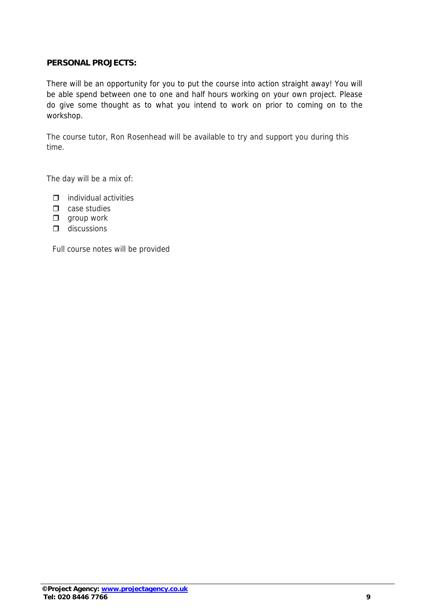#### **PERSONAL PROJECTS:**

There will be an opportunity for you to put the course into action straight away! You will be able spend between one to one and half hours working on your own project. Please do give some thought as to what you intend to work on prior to coming on to the workshop.

The course tutor, Ron Rosenhead will be available to try and support you during this time.

The day will be a mix of:

- $\Box$  individual activities
- $\Box$  case studies
- $\Box$  group work
- $\Box$  discussions

Full course notes will be provided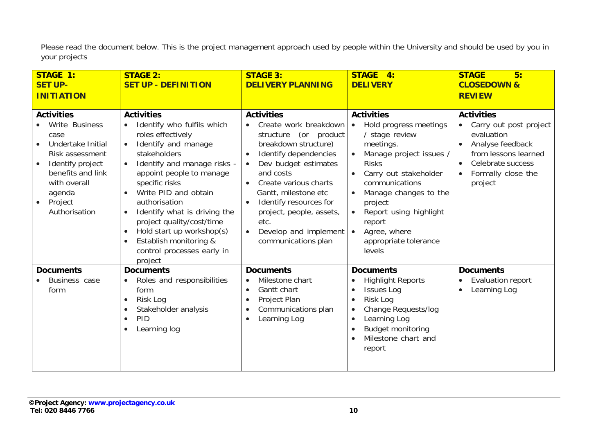Please read the document below. This is the project management approach used by people within the University and should be used by you in your projects

| <b>STAGE 1:</b>                                                                                                                                                                                 | <b>STAGE 2:</b>                                                                                                                                                                                                                                                                                                                                                                                                                                                                           | <b>STAGE 3:</b>                                                                                                                                                                                                                                                                                                                                    | <b>STAGE</b><br>4:                                                                                                                                                                                                                                                                                                      | <b>STAGE</b><br>5:                                                                                                                                                       |
|-------------------------------------------------------------------------------------------------------------------------------------------------------------------------------------------------|-------------------------------------------------------------------------------------------------------------------------------------------------------------------------------------------------------------------------------------------------------------------------------------------------------------------------------------------------------------------------------------------------------------------------------------------------------------------------------------------|----------------------------------------------------------------------------------------------------------------------------------------------------------------------------------------------------------------------------------------------------------------------------------------------------------------------------------------------------|-------------------------------------------------------------------------------------------------------------------------------------------------------------------------------------------------------------------------------------------------------------------------------------------------------------------------|--------------------------------------------------------------------------------------------------------------------------------------------------------------------------|
| <b>SET UP-</b>                                                                                                                                                                                  | <b>SET UP - DEFINITION</b>                                                                                                                                                                                                                                                                                                                                                                                                                                                                | <b>DELIVERY PLANNING</b>                                                                                                                                                                                                                                                                                                                           | <b>DELIVERY</b>                                                                                                                                                                                                                                                                                                         | <b>CLOSEDOWN &amp;</b>                                                                                                                                                   |
| <b>INITIATION</b>                                                                                                                                                                               |                                                                                                                                                                                                                                                                                                                                                                                                                                                                                           |                                                                                                                                                                                                                                                                                                                                                    |                                                                                                                                                                                                                                                                                                                         | <b>REVIEW</b>                                                                                                                                                            |
| <b>Activities</b><br>Write Business<br>case<br>Undertake Initial<br>Risk assessment<br>Identify project<br>$\bullet$<br>benefits and link<br>with overall<br>agenda<br>Project<br>Authorisation | <b>Activities</b><br>Identify who fulfils which<br>$\bullet$<br>roles effectively<br>Identify and manage<br>$\bullet$<br>stakeholders<br>Identify and manage risks -<br>$\bullet$<br>appoint people to manage<br>specific risks<br>Write PID and obtain<br>$\bullet$<br>authorisation<br>Identify what is driving the<br>$\bullet$<br>project quality/cost/time<br>Hold start up workshop(s)<br>$\bullet$<br>Establish monitoring &<br>$\bullet$<br>control processes early in<br>project | <b>Activities</b><br>Create work breakdown<br>$\bullet$<br>structure (or product<br>breakdown structure)<br>Identify dependencies<br>$\bullet$<br>Dev budget estimates<br>and costs<br>Create various charts<br>Gantt, milestone etc<br>Identify resources for<br>project, people, assets,<br>etc.<br>Develop and implement<br>communications plan | <b>Activities</b><br>• Hold progress meetings<br>/ stage review<br>meetings.<br>Manage project issues /<br><b>Risks</b><br>Carry out stakeholder<br>communications<br>Manage changes to the<br>project<br>Report using highlight<br>$\bullet$<br>report<br>Agree, where<br>$\bullet$<br>appropriate tolerance<br>levels | <b>Activities</b><br>Carry out post project<br>$\bullet$<br>evaluation<br>Analyse feedback<br>from lessons learned<br>Celebrate success<br>Formally close the<br>project |
| <b>Documents</b>                                                                                                                                                                                | <b>Documents</b>                                                                                                                                                                                                                                                                                                                                                                                                                                                                          | <b>Documents</b>                                                                                                                                                                                                                                                                                                                                   | <b>Documents</b>                                                                                                                                                                                                                                                                                                        | <b>Documents</b>                                                                                                                                                         |
| Business case<br>form                                                                                                                                                                           | Roles and responsibilities<br>$\bullet$<br>form<br>Risk Log<br>$\bullet$<br>Stakeholder analysis<br>$\bullet$<br>PID<br>$\bullet$<br>Learning log<br>$\bullet$                                                                                                                                                                                                                                                                                                                            | Milestone chart<br>Gantt chart<br>$\bullet$<br>Project Plan<br>$\bullet$<br>Communications plan<br>$\bullet$<br>Learning Log<br>$\bullet$                                                                                                                                                                                                          | <b>Highlight Reports</b><br><b>Issues Log</b><br>$\bullet$<br>Risk Log<br>Change Requests/log<br>Learning Log<br><b>Budget monitoring</b><br>Milestone chart and<br>report                                                                                                                                              | <b>Evaluation report</b><br>Learning Log<br>$\bullet$                                                                                                                    |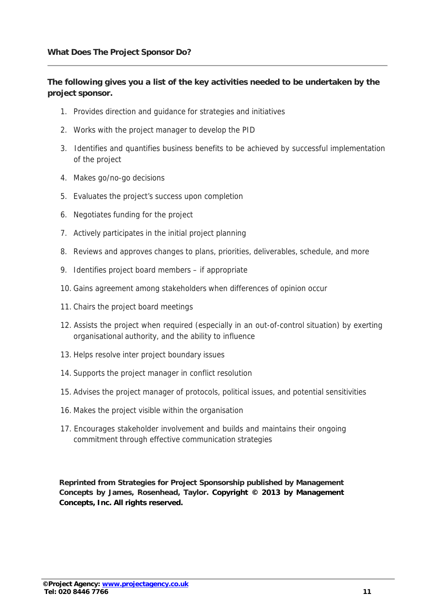#### **The following gives you a list of the key activities needed to be undertaken by the project sponsor.**

- 1. Provides direction and guidance for strategies and initiatives
- 2. Works with the project manager to develop the PID
- 3. Identifies and quantifies business benefits to be achieved by successful implementation of the project
- 4. Makes go/no-go decisions
- 5. Evaluates the project's success upon completion
- 6. Negotiates funding for the project
- 7. Actively participates in the initial project planning
- 8. Reviews and approves changes to plans, priorities, deliverables, schedule, and more
- 9. Identifies project board members if appropriate
- 10. Gains agreement among stakeholders when differences of opinion occur
- 11. Chairs the project board meetings
- 12. Assists the project when required (especially in an out-of-control situation) by exerting organisational authority, and the ability to influence
- 13. Helps resolve inter project boundary issues
- 14. Supports the project manager in conflict resolution
- 15. Advises the project manager of protocols, political issues, and potential sensitivities
- 16. Makes the project visible within the organisation
- 17. Encourages stakeholder involvement and builds and maintains their ongoing commitment through effective communication strategies

**Reprinted from Strategies for Project Sponsorship published by Management Concepts by James, Rosenhead, Taylor. Copyright © 2013 by Management Concepts, Inc. All rights reserved.**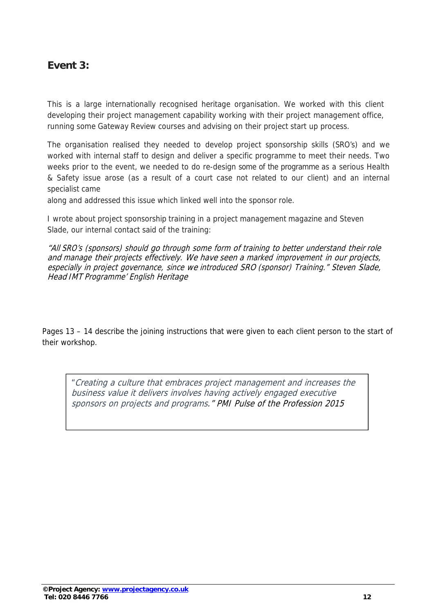## **Event 3:**

This is a large internationally recognised heritage organisation. We worked with this client developing their project management capability working with their project management office, running some Gateway Review courses and advising on their project start up process.

The organisation realised they needed to develop project sponsorship skills (SRO's) and we worked with internal staff to design and deliver a specific programme to meet their needs. Two weeks prior to the event, we needed to do re-design some of the programme as a serious Health & Safety issue arose (as a result of a court case not related to our client) and an internal specialist came

along and addressed this issue which linked well into the sponsor role.

I wrote about project sponsorship training in a project management magazine and Steven Slade, our internal contact said of the training:

"All SRO's (sponsors) should go through some form of training to better understand their role and manage their projects effectively. We have seen a marked improvement in our projects, especially in project governance, since we introduced SRO (sponsor) Training." Steven Slade, Head IMT Programme' English Heritage

Pages 13 – 14 describe the joining instructions that were given to each client person to the start of their workshop.

"Creating a culture that embraces project management and increases the business value it delivers involves having actively engaged executive sponsors on projects and programs." PMI Pulse of the Profession 2015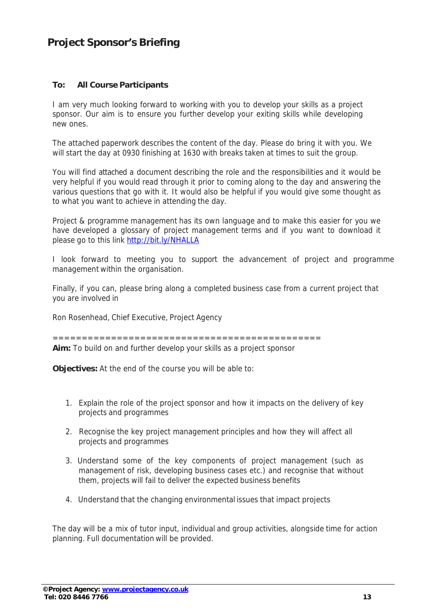### **Project Sponsor's Briefing**

#### **To: All Course Participants**

I am very much looking forward to working with you to develop your skills as a project sponsor. Our aim is to ensure you further develop your exiting skills while developing new ones.

The attached paperwork describes the content of the day. Please do bring it with you. We will start the day at 0930 finishing at 1630 with breaks taken at times to suit the group.

You will find attached a document describing the role and the responsibilities and it would be very helpful if you would read through it prior to coming along to the day and answering the various questions that go with it. It would also be helpful if you would give some thought as to what you want to achieve in attending the day.

Project & programme management has its own language and to make this easier for you we have developed a glossary of project management terms and if you want to download it please go to this link http://bit.ly/NHALLA

I look forward to meeting you to support the advancement of project and programme management within the organisation.

Finally, if you can, please bring along a completed business case from a current project that you are involved in

Ron Rosenhead, Chief Executive, Project Agency

==============================================

**Aim:** To build on and further develop your skills as a project sponsor

**Objectives:** At the end of the course you will be able to:

- 1. Explain the role of the project sponsor and how it impacts on the delivery of key projects and programmes
- 2. Recognise the key project management principles and how they will affect all projects and programmes
- 3. Understand some of the key components of project management (such as management of risk, developing business cases etc.) and recognise that without them, projects will fail to deliver the expected business benefits
- 4. Understand that the changing environmental issues that impact projects

The day will be a mix of tutor input, individual and group activities, alongside time for action planning. Full documentation will be provided.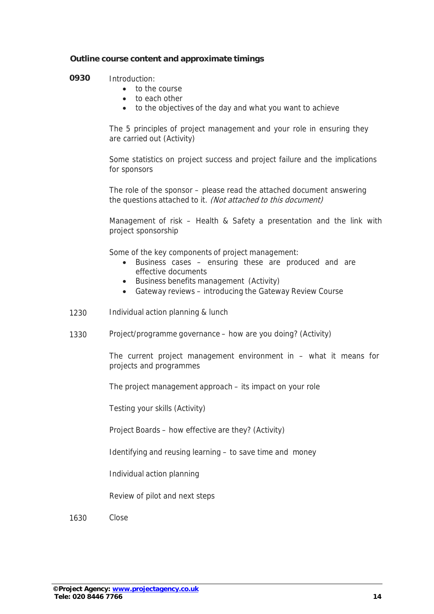#### **Outline course content and approximate timings**

#### **0930** Introduction:

- to the course
- to each other
- to the objectives of the day and what you want to achieve

The 5 principles of project management and your role in ensuring they are carried out (Activity)

Some statistics on project success and project failure and the implications for sponsors

The role of the sponsor – please read the attached document answering the questions attached to it. (Not attached to this document)

Management of risk – Health & Safety a presentation and the link with project sponsorship

Some of the key components of project management:

- Business cases ensuring these are produced and are effective documents
- Business benefits management (Activity)
- Gateway reviews introducing the Gateway Review Course
- 1230 Individual action planning & lunch
- 1330 Project/programme governance how are you doing? (Activity)

The current project management environment in – what it means for projects and programmes

The project management approach – its impact on your role

Testing your skills (Activity)

Project Boards – how effective are they? (Activity)

Identifying and reusing learning – to save time and money

Individual action planning

Review of pilot and next steps

1630 Close